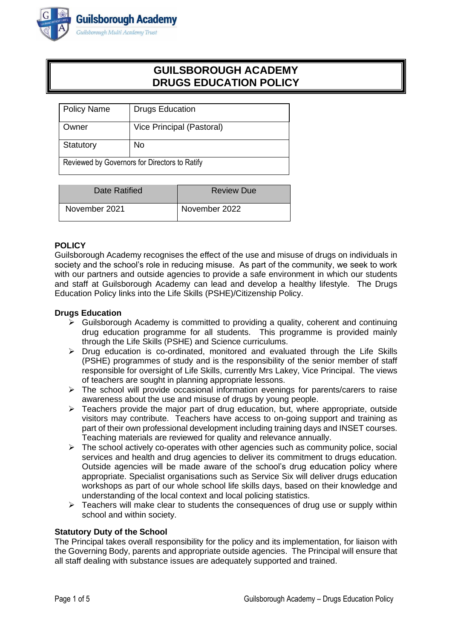

# **GUILSBOROUGH ACADEMY DRUGS EDUCATION POLICY**

| <b>Policy Name</b>                            | <b>Drugs Education</b>    |
|-----------------------------------------------|---------------------------|
| Owner                                         | Vice Principal (Pastoral) |
| Statutory                                     | No                        |
| Reviewed by Governors for Directors to Ratify |                           |

| Date Ratified | <b>Review Due</b> |
|---------------|-------------------|
| November 2021 | November 2022     |

## **POLICY**

Guilsborough Academy recognises the effect of the use and misuse of drugs on individuals in society and the school's role in reducing misuse. As part of the community, we seek to work with our partners and outside agencies to provide a safe environment in which our students and staff at Guilsborough Academy can lead and develop a healthy lifestyle. The Drugs Education Policy links into the Life Skills (PSHE)/Citizenship Policy.

## **Drugs Education**

- ➢ Guilsborough Academy is committed to providing a quality, coherent and continuing drug education programme for all students. This programme is provided mainly through the Life Skills (PSHE) and Science curriculums.
- $\triangleright$  Drug education is co-ordinated, monitored and evaluated through the Life Skills (PSHE) programmes of study and is the responsibility of the senior member of staff responsible for oversight of Life Skills, currently Mrs Lakey, Vice Principal. The views of teachers are sought in planning appropriate lessons.
- $\triangleright$  The school will provide occasional information evenings for parents/carers to raise awareness about the use and misuse of drugs by young people.
- $\triangleright$  Teachers provide the major part of drug education, but, where appropriate, outside visitors may contribute. Teachers have access to on-going support and training as part of their own professional development including training days and INSET courses. Teaching materials are reviewed for quality and relevance annually.
- $\triangleright$  The school actively co-operates with other agencies such as community police, social services and health and drug agencies to deliver its commitment to drugs education. Outside agencies will be made aware of the school's drug education policy where appropriate. Specialist organisations such as Service Six will deliver drugs education workshops as part of our whole school life skills days, based on their knowledge and understanding of the local context and local policing statistics.
- $\triangleright$  Teachers will make clear to students the consequences of drug use or supply within school and within society.

#### **Statutory Duty of the School**

The Principal takes overall responsibility for the policy and its implementation, for liaison with the Governing Body, parents and appropriate outside agencies. The Principal will ensure that all staff dealing with substance issues are adequately supported and trained.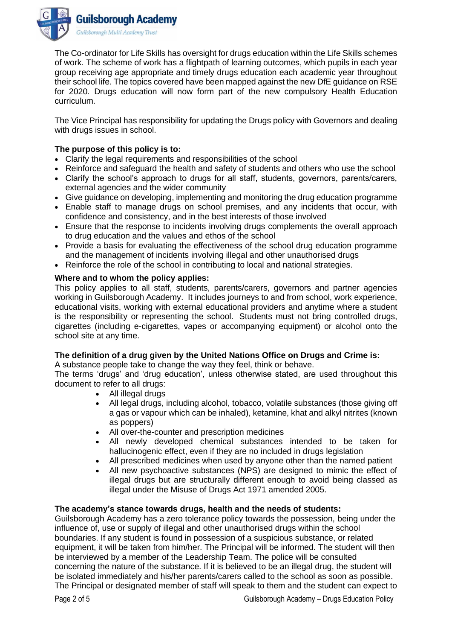

The Co-ordinator for Life Skills has oversight for drugs education within the Life Skills schemes of work. The scheme of work has a flightpath of learning outcomes, which pupils in each year group receiving age appropriate and timely drugs education each academic year throughout their school life. The topics covered have been mapped against the new DfE guidance on RSE for 2020. Drugs education will now form part of the new compulsory Health Education curriculum.

The Vice Principal has responsibility for updating the Drugs policy with Governors and dealing with drugs issues in school.

## **The purpose of this policy is to:**

- Clarify the legal requirements and responsibilities of the school
- Reinforce and safeguard the health and safety of students and others who use the school
- Clarify the school's approach to drugs for all staff, students, governors, parents/carers, external agencies and the wider community
- Give guidance on developing, implementing and monitoring the drug education programme
- Enable staff to manage drugs on school premises, and any incidents that occur, with confidence and consistency, and in the best interests of those involved
- Ensure that the response to incidents involving drugs complements the overall approach to drug education and the values and ethos of the school
- Provide a basis for evaluating the effectiveness of the school drug education programme and the management of incidents involving illegal and other unauthorised drugs
- Reinforce the role of the school in contributing to local and national strategies.

## **Where and to whom the policy applies:**

This policy applies to all staff, students, parents/carers, governors and partner agencies working in Guilsborough Academy. It includes journeys to and from school, work experience, educational visits, working with external educational providers and anytime where a student is the responsibility or representing the school. Students must not bring controlled drugs, cigarettes (including e-cigarettes, vapes or accompanying equipment) or alcohol onto the school site at any time.

## **The definition of a drug given by the United Nations Office on Drugs and Crime is:**

A substance people take to change the way they feel, think or behave.

The terms 'drugs' and 'drug education', unless otherwise stated, are used throughout this document to refer to all drugs:

- All illegal drugs
- All legal drugs, including alcohol, tobacco, volatile substances (those giving off a gas or vapour which can be inhaled), ketamine, khat and alkyl nitrites (known as poppers)
- All over-the-counter and prescription medicines
- All newly developed chemical substances intended to be taken for hallucinogenic effect, even if they are no included in drugs legislation
- All prescribed medicines when used by anyone other than the named patient
- All new psychoactive substances (NPS) are designed to mimic the effect of illegal drugs but are structurally different enough to avoid being classed as illegal under the Misuse of Drugs Act 1971 amended 2005.

## **The academy's stance towards drugs, health and the needs of students:**

Guilsborough Academy has a zero tolerance policy towards the possession, being under the influence of, use or supply of illegal and other unauthorised drugs within the school boundaries. If any student is found in possession of a suspicious substance, or related equipment, it will be taken from him/her. The Principal will be informed. The student will then be interviewed by a member of the Leadership Team. The police will be consulted concerning the nature of the substance. If it is believed to be an illegal drug, the student will be isolated immediately and his/her parents/carers called to the school as soon as possible. The Principal or designated member of staff will speak to them and the student can expect to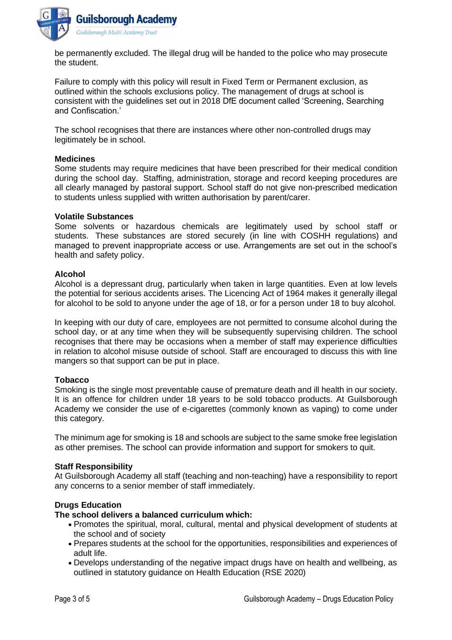

be permanently excluded. The illegal drug will be handed to the police who may prosecute the student.

Failure to comply with this policy will result in Fixed Term or Permanent exclusion, as outlined within the schools exclusions policy. The management of drugs at school is consistent with the guidelines set out in 2018 DfE document called 'Screening, Searching and Confiscation.'

The school recognises that there are instances where other non-controlled drugs may legitimately be in school.

#### **Medicines**

Some students may require medicines that have been prescribed for their medical condition during the school day. Staffing, administration, storage and record keeping procedures are all clearly managed by pastoral support. School staff do not give non-prescribed medication to students unless supplied with written authorisation by parent/carer.

#### **Volatile Substances**

Some solvents or hazardous chemicals are legitimately used by school staff or students. These substances are stored securely (in line with COSHH regulations) and managed to prevent inappropriate access or use. Arrangements are set out in the school's health and safety policy.

#### **Alcohol**

Alcohol is a depressant drug, particularly when taken in large quantities. Even at low levels the potential for serious accidents arises. The Licencing Act of 1964 makes it generally illegal for alcohol to be sold to anyone under the age of 18, or for a person under 18 to buy alcohol.

In keeping with our duty of care, employees are not permitted to consume alcohol during the school day, or at any time when they will be subsequently supervising children. The school recognises that there may be occasions when a member of staff may experience difficulties in relation to alcohol misuse outside of school. Staff are encouraged to discuss this with line mangers so that support can be put in place.

## **Tobacco**

Smoking is the single most preventable cause of premature death and ill health in our society. It is an offence for children under 18 years to be sold tobacco products. At Guilsborough Academy we consider the use of e-cigarettes (commonly known as vaping) to come under this category.

The minimum age for smoking is 18 and schools are subject to the same smoke free legislation as other premises. The school can provide information and support for smokers to quit.

#### **Staff Responsibility**

At Guilsborough Academy all staff (teaching and non-teaching) have a responsibility to report any concerns to a senior member of staff immediately.

## **Drugs Education**

## **The school delivers a balanced curriculum which:**

- Promotes the spiritual, moral, cultural, mental and physical development of students at the school and of society
- Prepares students at the school for the opportunities, responsibilities and experiences of adult life.
- Develops understanding of the negative impact drugs have on health and wellbeing, as outlined in statutory guidance on Health Education (RSE 2020)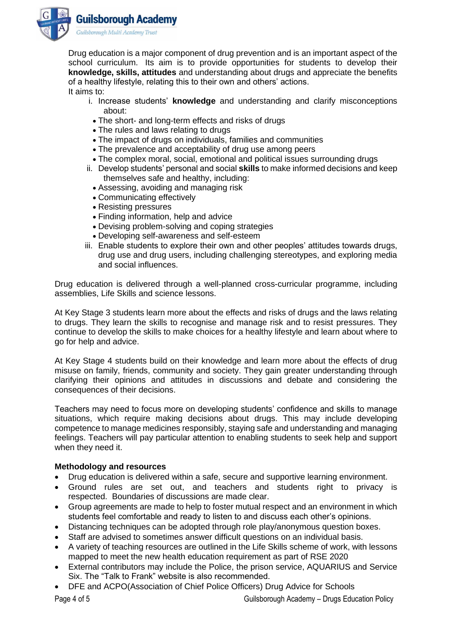

Drug education is a major component of drug prevention and is an important aspect of the school curriculum. Its aim is to provide opportunities for students to develop their **knowledge, skills, attitudes** and understanding about drugs and appreciate the benefits of a healthy lifestyle, relating this to their own and others' actions. It aims to:

- i. Increase students' **knowledge** and understanding and clarify misconceptions about:
	- The short- and long-term effects and risks of drugs
- The rules and laws relating to drugs
- The impact of drugs on individuals, families and communities
- The prevalence and acceptability of drug use among peers
- The complex moral, social, emotional and political issues surrounding drugs
- ii. Develop students' personal and social **skills** to make informed decisions and keep themselves safe and healthy, including:
	- Assessing, avoiding and managing risk
	- Communicating effectively
	- Resisting pressures
	- Finding information, help and advice
	- Devising problem-solving and coping strategies
	- Developing self-awareness and self-esteem
- iii. Enable students to explore their own and other peoples' attitudes towards drugs, drug use and drug users, including challenging stereotypes, and exploring media and social influences.

Drug education is delivered through a well-planned cross-curricular programme, including assemblies, Life Skills and science lessons.

At Key Stage 3 students learn more about the effects and risks of drugs and the laws relating to drugs. They learn the skills to recognise and manage risk and to resist pressures. They continue to develop the skills to make choices for a healthy lifestyle and learn about where to go for help and advice.

At Key Stage 4 students build on their knowledge and learn more about the effects of drug misuse on family, friends, community and society. They gain greater understanding through clarifying their opinions and attitudes in discussions and debate and considering the consequences of their decisions.

Teachers may need to focus more on developing students' confidence and skills to manage situations, which require making decisions about drugs. This may include developing competence to manage medicines responsibly, staying safe and understanding and managing feelings. Teachers will pay particular attention to enabling students to seek help and support when they need it.

## **Methodology and resources**

- Drug education is delivered within a safe, secure and supportive learning environment.
- Ground rules are set out, and teachers and students right to privacy is respected. Boundaries of discussions are made clear.
- Group agreements are made to help to foster mutual respect and an environment in which students feel comfortable and ready to listen to and discuss each other's opinions.
- Distancing techniques can be adopted through role play/anonymous question boxes.
- Staff are advised to sometimes answer difficult questions on an individual basis.
- A variety of teaching resources are outlined in the Life Skills scheme of work, with lessons mapped to meet the new health education requirement as part of RSE 2020
- External contributors may include the Police, the prison service, AQUARIUS and Service Six. The "Talk to Frank" website is also recommended.
- DFE and ACPO(Association of Chief Police Officers) Drug Advice for Schools

Page 4 of 5 Guilsborough Academy – Drugs Education Policy